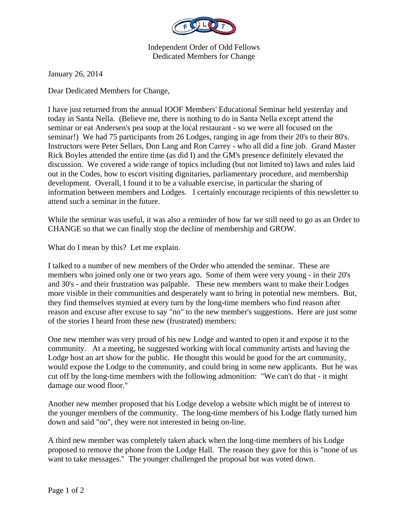

Independent Order of Odd Fellows Dedicated Members for Change

January 26, 2014

Dear Dedicated Members for Change,

I have just returned from the annual IOOF Members' Educational Seminar held yesterday and today in Santa Nella. (Believe me, there is nothing to do in Santa Nella except attend the seminar or eat Andersen's pea soup at the local restaurant - so we were all focused on the seminar!) We had 75 participants from 26 Lodges, ranging in age from their 20's to their 80's. Instructors were Peter Sellars, Don Lang and Ron Carrey - who all did a fine job. Grand Master Rick Boyles attended the entire time (as did I) and the GM's presence definitely elevated the discussion. We covered a wide range of topics including (but not limited to) laws and rules laid out in the Codes, how to escort visiting dignitaries, parliamentary procedure, and membership development. Overall, I found it to be a valuable exercise, in particular the sharing of information between members and Lodges. I certainly encourage recipients of this newsletter to attend such a seminar in the future.

While the seminar was useful, it was also a reminder of how far we still need to go as an Order to CHANGE so that we can finally stop the decline of membership and GROW.

What do I mean by this? Let me explain.

I talked to a number of new members of the Order who attended the seminar. These are members who joined only one or two years ago. Some of them were very young - in their 20's and 30's - and their frustration was palpable. These new members want to make their Lodges more visible in their communities and desperately want to bring in potential new members. But, they find themselves stymied at every turn by the long-time members who find reason after reason and excuse after excuse to say "no" to the new member's suggestions. Here are just some of the stories I heard from these new (frustrated) members:

One new member was very proud of his new Lodge and wanted to open it and expose it to the community. At a meeting, he suggested working with local community artists and having the Lodge host an art show for the public. He thought this would be good for the art community, would expose the Lodge to the community, and could bring in some new applicants. But he was cut off by the long-time members with the following admonition: "We can't do that - it might damage our wood floor."

Another new member proposed that his Lodge develop a website which might be of interest to the younger members of the community. The long-time members of his Lodge flatly turned him down and said "no", they were not interested in being on-line.

A third new member was completely taken aback when the long-time members of his Lodge proposed to remove the phone from the Lodge Hall. The reason they gave for this is "none of us want to take messages." The younger challenged the proposal but was voted down.